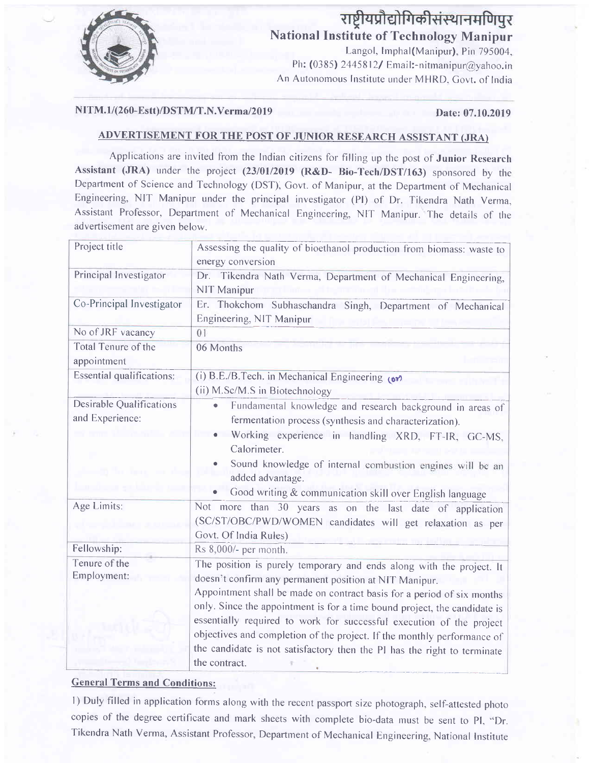

# राष्ट्रीयप्रौद्योगिकीसंस्थानमणिपुर **National Institute of Technology Manipur**

Langol, Imphal(Manipur), Pin 795004, Ph: (0385) 2445812/ Email:-nitmanipur@yahoo.in An Autonomous Institute under MHRD, Govt. of India

#### NITM.1/(260-Estt)/DSTM/T.N.Verma/2019

#### Date: 07.10.2019

### ADVERTISEMENT FOR THE POST OF JUNIOR RESEARCH ASSISTANT (JRA)

Applications are invited from the Indian citizens for filling up the post of Junior Research Assistant (JRA) under the project (23/01/2019 (R&D- Bio-Tech/DST/163) sponsored by the Department of Science and Technology (DST), Govt. of Manipur, at the Department of Mechanical Engineering, NIT Manipur under the principal investigator (PI) of Dr. Tikendra Nath Verma, Assistant Professor, Department of Mechanical Engineering, NIT Manipur. The details of the advertisement are given below.

| Assessing the quality of bioethanol production from biomass: waste to<br>energy conversion                                                                                                                                                                                                                                                                                                                                                                                                                                            |
|---------------------------------------------------------------------------------------------------------------------------------------------------------------------------------------------------------------------------------------------------------------------------------------------------------------------------------------------------------------------------------------------------------------------------------------------------------------------------------------------------------------------------------------|
| Dr. Tikendra Nath Verma, Department of Mechanical Engineering,<br>NIT Manipur                                                                                                                                                                                                                                                                                                                                                                                                                                                         |
| Er. Thokchom Subhaschandra Singh, Department of Mechanical<br>Engineering, NIT Manipur                                                                                                                                                                                                                                                                                                                                                                                                                                                |
| 01                                                                                                                                                                                                                                                                                                                                                                                                                                                                                                                                    |
| 06 Months                                                                                                                                                                                                                                                                                                                                                                                                                                                                                                                             |
| (i) B.E./B.Tech. in Mechanical Engineering (or)<br>(ii) M.Sc/M.S in Biotechnology                                                                                                                                                                                                                                                                                                                                                                                                                                                     |
| Fundamental knowledge and research background in areas of<br>$\bullet$<br>fermentation process (synthesis and characterization).<br>Working experience in handling XRD, FT-IR, GC-MS,<br>Calorimeter.<br>Sound knowledge of internal combustion engines will be an<br>added advantage.<br>Good writing & communication skill over English language                                                                                                                                                                                    |
| Not more than 30 years as on the last date of application<br>(SC/ST/OBC/PWD/WOMEN candidates will get relaxation as per<br>Govt. Of India Rules)                                                                                                                                                                                                                                                                                                                                                                                      |
| Rs 8,000/- per month.                                                                                                                                                                                                                                                                                                                                                                                                                                                                                                                 |
| The position is purely temporary and ends along with the project. It<br>doesn't confirm any permanent position at NIT Manipur.<br>Appointment shall be made on contract basis for a period of six months<br>only. Since the appointment is for a time bound project, the candidate is<br>essentially required to work for successful execution of the project<br>objectives and completion of the project. If the monthly performance of<br>the candidate is not satisfactory then the PI has the right to terminate<br>the contract. |
|                                                                                                                                                                                                                                                                                                                                                                                                                                                                                                                                       |

### **General Terms and Conditions:**

1) Duly filled in application forms along with the recent passport size photograph, self-attested photo copies of the degree certificate and mark sheets with complete bio-data must be sent to PI, "Dr. Tikendra Nath Verma, Assistant Professor, Department of Mechanical Engineering, National Institute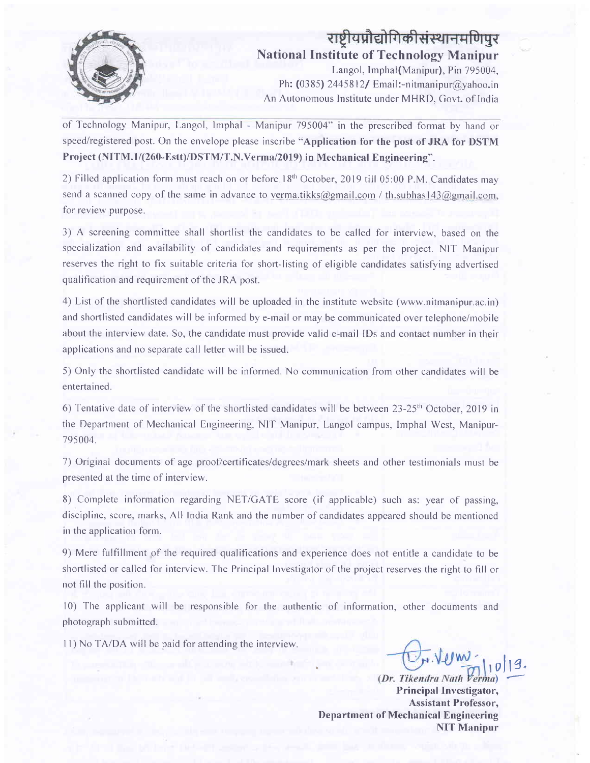

## राष्ट्रीयप्रौद्योगिकीसंस्थानमणिपर National Institute of Technology Manipur

Langol, Imphal(Manipur), Pin 795004, Ph: (0385) 2445812/ Email:-nitmanipur@yahoo.in An Autonomous Institute under MHRD, Govt. of India

of Technology Manipur, Langol, Imphal - Manipur 795004" in the prescribed format by hand or speed/registered post. On the envelope please inscribe "Application for the post of JRA for DSTM Project (NITM.1/(260-Estt)/DSTM/T.N.Verma/2019) in Mechanical Engineering".

2) Filled application form must reach on or before 18<sup>th</sup> October, 2019 till 05:00 P.M. Candidates may send a scanned copy of the same in advance to verma,tikks@gmail.com / th,subhas143@gmail.com, for review purpose.

3) A screening committee shall shortlist the candidates to be called for interview, based on the specialization and availability of candidates and requirements as per the project. NIT Manipur reserves the right to fix suitable criteria for short-listing of eligible candidates satisfying advertised qualification and requirement of the JRA post.

4) List of the shortlisted candidates will be uploaded in the institute website (www.nitmanipur.ac.in) and shortlisted candidates will be informed by e-mail or may be communicated over telephone/mobile about the interview date. So, the candidate must provide valid e-mail IDs and contact number in their applications and no separate call letter will be issued.

5) Only the shortlisted candidate will be informed. No comrnunication frorn other candidates will be entertained.

6) Tentative date of interview of the shortlisted candidates will be between  $23-25$ <sup>th</sup> October, 2019 in the Department of Mechanical Engineering, NIT Manipur, Langol campus, Imphal West, Manipur-795004.

7) Original documents of age proof/certificates/degrees/mark sheets and other testirnonials must be presented at the time of interview.

8) Complete information regarding NET/GATE score (if applicable) such as: year of passing, discipline, score, marks, All India Rank and the number of candidates appeared should be mentioned in the application form.

9) Mere fulfillment of the required qualifications and experience does not entitle a candidate to be shortlisted or called for interview. The Principal Investigator of the project reserves the right to fill or not fill the position.

10) The applicant will be responsible for the authentic of information, other documents and photograph submitted.

I l) No TA/DA will be paid for attending the interview.

0||9.

)- (Dr. Tikendra Nath Principal Investigator, Assistant Professor, Department of Mechanical Engineering NIT Manipur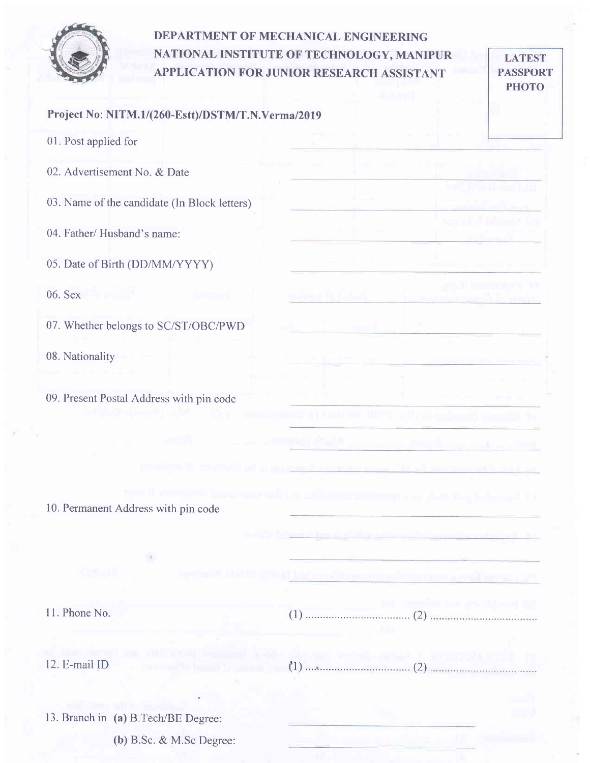

# DEPARTMENT OF MECHANICAL ENGINEERING NATIONAL INSTITUTE OF TECHNOLOGY. MANIPUR APPLICATION FOR JUNIOR RESEARCH ASSISTANT

LATEST PASSPORT PHOTO

|                      | Project No: NITM.1/(260-Estt)/DSTM/T.N.Verma/2019 |  |  |
|----------------------|---------------------------------------------------|--|--|
| 01. Post applied for |                                                   |  |  |

02. Advertisement No. & Date

03. Name of the candidate (ln Block letters)

04. Father/ Husband's name:

05. Date of Birth (DD/MM/YYYY)

06. Sex

07. Whether belongs to SC/ST/OBC/PWD

08. Nationality

09. Present Postal Address with pin code

10. Permanent Address with pin code

11. Phone No.

12. E-mail ID

13. Branch in (a) B.Tech/BE Degree:

(b) B.Sc. & M.Sc Degree: